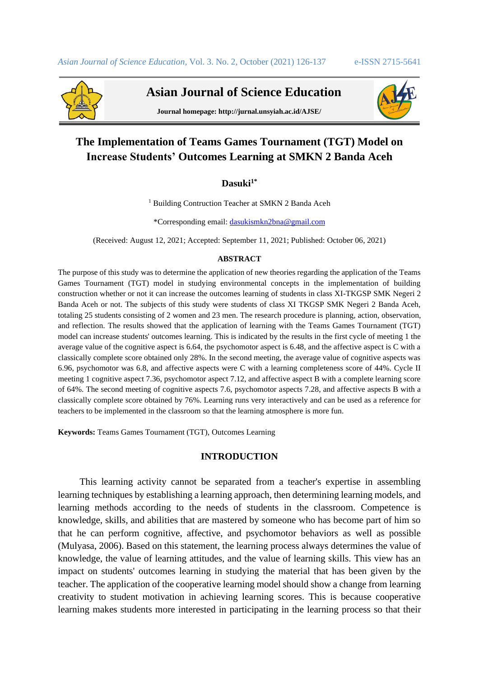

 **Asian Journal of Science Education**

**Journal homepage: http://jurnal.unsyiah.ac.id/AJSE/**



# **The Implementation of Teams Games Tournament (TGT) Model on Increase Students' Outcomes Learning at SMKN 2 Banda Aceh**

# **Dasuki1\***

<sup>1</sup> Building Contruction Teacher at SMKN 2 Banda Aceh

\*Corresponding email[: dasukismkn2bna@gmail.com](mailto:dasukismkn2bna@gmail.com)

(Received: August 12, 2021; Accepted: September 11, 2021; Published: October 06, 2021)

#### **ABSTRACT**

The purpose of this study was to determine the application of new theories regarding the application of the Teams Games Tournament (TGT) model in studying environmental concepts in the implementation of building construction whether or not it can increase the outcomes learning of students in class XI-TKGSP SMK Negeri 2 Banda Aceh or not. The subjects of this study were students of class XI TKGSP SMK Negeri 2 Banda Aceh, totaling 25 students consisting of 2 women and 23 men. The research procedure is planning, action, observation, and reflection. The results showed that the application of learning with the Teams Games Tournament (TGT) model can increase students' outcomes learning. This is indicated by the results in the first cycle of meeting 1 the average value of the cognitive aspect is 6.64, the psychomotor aspect is 6.48, and the affective aspect is C with a classically complete score obtained only 28%. In the second meeting, the average value of cognitive aspects was 6.96, psychomotor was 6.8, and affective aspects were C with a learning completeness score of 44%. Cycle II meeting 1 cognitive aspect 7.36, psychomotor aspect 7.12, and affective aspect B with a complete learning score of 64%. The second meeting of cognitive aspects 7.6, psychomotor aspects 7.28, and affective aspects B with a classically complete score obtained by 76%. Learning runs very interactively and can be used as a reference for teachers to be implemented in the classroom so that the learning atmosphere is more fun.

**Keywords:** Teams Games Tournament (TGT), Outcomes Learning

## **INTRODUCTION**

This learning activity cannot be separated from a teacher's expertise in assembling learning techniques by establishing a learning approach, then determining learning models, and learning methods according to the needs of students in the classroom. Competence is knowledge, skills, and abilities that are mastered by someone who has become part of him so that he can perform cognitive, affective, and psychomotor behaviors as well as possible (Mulyasa, 2006). Based on this statement, the learning process always determines the value of knowledge, the value of learning attitudes, and the value of learning skills. This view has an impact on students' outcomes learning in studying the material that has been given by the teacher. The application of the cooperative learning model should show a change from learning creativity to student motivation in achieving learning scores. This is because cooperative learning makes students more interested in participating in the learning process so that their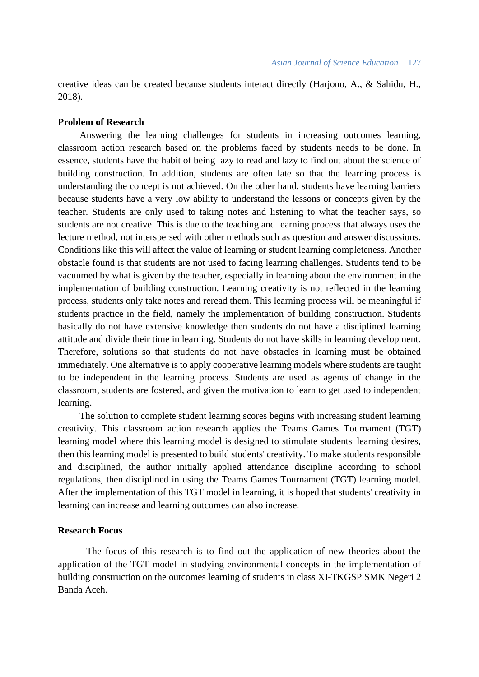creative ideas can be created because students interact directly (Harjono, A., & Sahidu, H., 2018).

## **Problem of Research**

Answering the learning challenges for students in increasing outcomes learning, classroom action research based on the problems faced by students needs to be done. In essence, students have the habit of being lazy to read and lazy to find out about the science of building construction. In addition, students are often late so that the learning process is understanding the concept is not achieved. On the other hand, students have learning barriers because students have a very low ability to understand the lessons or concepts given by the teacher. Students are only used to taking notes and listening to what the teacher says, so students are not creative. This is due to the teaching and learning process that always uses the lecture method, not interspersed with other methods such as question and answer discussions. Conditions like this will affect the value of learning or student learning completeness. Another obstacle found is that students are not used to facing learning challenges. Students tend to be vacuumed by what is given by the teacher, especially in learning about the environment in the implementation of building construction. Learning creativity is not reflected in the learning process, students only take notes and reread them. This learning process will be meaningful if students practice in the field, namely the implementation of building construction. Students basically do not have extensive knowledge then students do not have a disciplined learning attitude and divide their time in learning. Students do not have skills in learning development. Therefore, solutions so that students do not have obstacles in learning must be obtained immediately. One alternative is to apply cooperative learning models where students are taught to be independent in the learning process. Students are used as agents of change in the classroom, students are fostered, and given the motivation to learn to get used to independent learning.

The solution to complete student learning scores begins with increasing student learning creativity. This classroom action research applies the Teams Games Tournament (TGT) learning model where this learning model is designed to stimulate students' learning desires, then this learning model is presented to build students' creativity. To make students responsible and disciplined, the author initially applied attendance discipline according to school regulations, then disciplined in using the Teams Games Tournament (TGT) learning model. After the implementation of this TGT model in learning, it is hoped that students' creativity in learning can increase and learning outcomes can also increase.

## **Research Focus**

The focus of this research is to find out the application of new theories about the application of the TGT model in studying environmental concepts in the implementation of building construction on the outcomes learning of students in class XI-TKGSP SMK Negeri 2 Banda Aceh.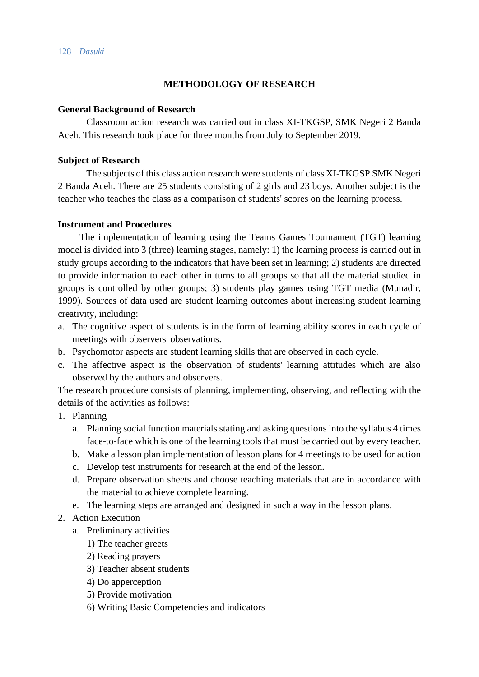# **METHODOLOGY OF RESEARCH**

## **General Background of Research**

Classroom action research was carried out in class XI-TKGSP, SMK Negeri 2 Banda Aceh. This research took place for three months from July to September 2019.

## **Subject of Research**

The subjects of this class action research were students of class XI-TKGSP SMK Negeri 2 Banda Aceh. There are 25 students consisting of 2 girls and 23 boys. Another subject is the teacher who teaches the class as a comparison of students' scores on the learning process.

## **Instrument and Procedures**

The implementation of learning using the Teams Games Tournament (TGT) learning model is divided into 3 (three) learning stages, namely: 1) the learning process is carried out in study groups according to the indicators that have been set in learning; 2) students are directed to provide information to each other in turns to all groups so that all the material studied in groups is controlled by other groups; 3) students play games using TGT media (Munadir, 1999). Sources of data used are student learning outcomes about increasing student learning creativity, including:

- a. The cognitive aspect of students is in the form of learning ability scores in each cycle of meetings with observers' observations.
- b. Psychomotor aspects are student learning skills that are observed in each cycle.
- c. The affective aspect is the observation of students' learning attitudes which are also observed by the authors and observers.

The research procedure consists of planning, implementing, observing, and reflecting with the details of the activities as follows:

- 1. Planning
	- a. Planning social function materials stating and asking questions into the syllabus 4 times face-to-face which is one of the learning tools that must be carried out by every teacher.
	- b. Make a lesson plan implementation of lesson plans for 4 meetings to be used for action
	- c. Develop test instruments for research at the end of the lesson.
	- d. Prepare observation sheets and choose teaching materials that are in accordance with the material to achieve complete learning.
	- e. The learning steps are arranged and designed in such a way in the lesson plans.
- 2. Action Execution
	- a. Preliminary activities
		- 1) The teacher greets
		- 2) Reading prayers
		- 3) Teacher absent students
		- 4) Do apperception
		- 5) Provide motivation
		- 6) Writing Basic Competencies and indicators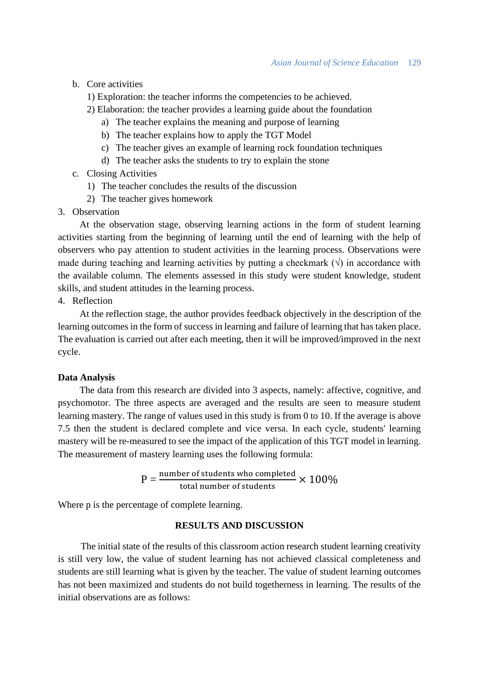b. Core activities

1) Exploration: the teacher informs the competencies to be achieved.

- 2) Elaboration: the teacher provides a learning guide about the foundation
	- a) The teacher explains the meaning and purpose of learning
	- b) The teacher explains how to apply the TGT Model
	- c) The teacher gives an example of learning rock foundation techniques
	- d) The teacher asks the students to try to explain the stone
- c. Closing Activities
	- 1) The teacher concludes the results of the discussion
	- 2) The teacher gives homework
- 3. Observation

At the observation stage, observing learning actions in the form of student learning activities starting from the beginning of learning until the end of learning with the help of observers who pay attention to student activities in the learning process. Observations were made during teaching and learning activities by putting a checkmark  $(\sqrt)$  in accordance with the available column. The elements assessed in this study were student knowledge, student skills, and student attitudes in the learning process.

## 4. Reflection

At the reflection stage, the author provides feedback objectively in the description of the learning outcomes in the form of success in learning and failure of learning that has taken place. The evaluation is carried out after each meeting, then it will be improved/improved in the next cycle.

#### **Data Analysis**

The data from this research are divided into 3 aspects, namely: affective, cognitive, and psychomotor. The three aspects are averaged and the results are seen to measure student learning mastery. The range of values used in this study is from 0 to 10. If the average is above 7.5 then the student is declared complete and vice versa. In each cycle, students' learning mastery will be re-measured to see the impact of the application of this TGT model in learning. The measurement of mastery learning uses the following formula:

$$
P = \frac{\text{number of students who completed}}{\text{total number of students}} \times 100\%
$$

Where p is the percentage of complete learning.

# **RESULTS AND DISCUSSION**

The initial state of the results of this classroom action research student learning creativity is still very low, the value of student learning has not achieved classical completeness and students are still learning what is given by the teacher. The value of student learning outcomes has not been maximized and students do not build togetherness in learning. The results of the initial observations are as follows: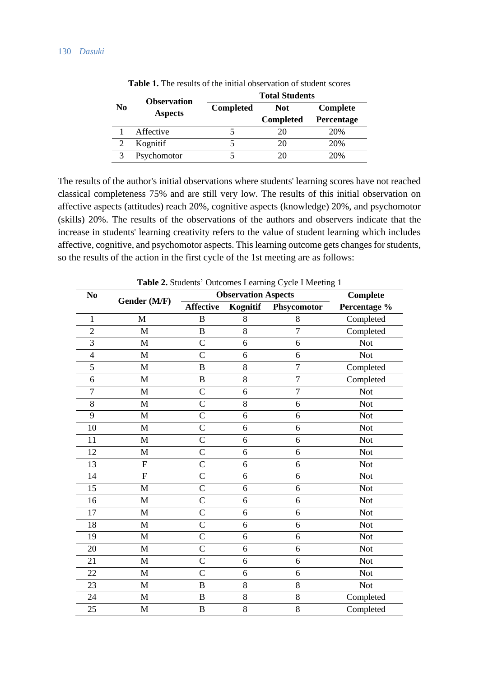|                | <b>Observation</b> | <b>Total Students</b> |                  |            |  |  |
|----------------|--------------------|-----------------------|------------------|------------|--|--|
| N <sub>0</sub> | <b>Aspects</b>     | <b>Completed</b>      | <b>Not</b>       | Complete   |  |  |
|                |                    |                       | <b>Completed</b> | Percentage |  |  |
|                | Affective          |                       | 20               | 20%        |  |  |
|                | Kognitif           |                       | 20               | 20%        |  |  |
|                | Psychomotor        |                       | 20               | 20%        |  |  |

**Table 1.** The results of the initial observation of student scores

The results of the author's initial observations where students' learning scores have not reached classical completeness 75% and are still very low. The results of this initial observation on affective aspects (attitudes) reach 20%, cognitive aspects (knowledge) 20%, and psychomotor (skills) 20%. The results of the observations of the authors and observers indicate that the increase in students' learning creativity refers to the value of student learning which includes affective, cognitive, and psychomotor aspects. This learning outcome gets changes for students, so the results of the action in the first cycle of the 1st meeting are as follows:

|                         | <b>Table 2.</b> Students' Outcomes Learning Cycle I Meeting 1 |                  |                                        |                |              |  |
|-------------------------|---------------------------------------------------------------|------------------|----------------------------------------|----------------|--------------|--|
| N <sub>0</sub>          | Gender (M/F)                                                  |                  | <b>Observation Aspects</b><br>Complete |                |              |  |
|                         |                                                               | <b>Affective</b> | Kognitif                               | Phsycomotor    | Percentage % |  |
| $\mathbf{1}$            | M                                                             | $\overline{B}$   | 8                                      | 8              | Completed    |  |
| $\overline{2}$          | $\mathbf{M}$                                                  | $\, {\bf B}$     | 8                                      | $\overline{7}$ | Completed    |  |
| 3                       | M                                                             | $\overline{C}$   | 6                                      | 6              | <b>Not</b>   |  |
| $\overline{\mathbf{4}}$ | $\mathbf M$                                                   | $\overline{C}$   | 6                                      | 6              | <b>Not</b>   |  |
| 5                       | M                                                             | $\, {\bf B}$     | 8                                      | $\overline{7}$ | Completed    |  |
| 6                       | $\mathbf{M}$                                                  | $\, {\bf B}$     | 8                                      | $\overline{7}$ | Completed    |  |
| $\overline{7}$          | M                                                             | $\mathcal{C}$    | 6                                      | $\overline{7}$ | <b>Not</b>   |  |
| 8                       | M                                                             | $\mathcal{C}$    | 8                                      | 6              | <b>Not</b>   |  |
| 9                       | $\mathbf M$                                                   | $\overline{C}$   | 6                                      | 6              | <b>Not</b>   |  |
| 10                      | M                                                             | $\overline{C}$   | 6                                      | 6              | <b>Not</b>   |  |
| 11                      | $\mathbf{M}$                                                  | $\overline{C}$   | 6                                      | 6              | <b>Not</b>   |  |
| 12                      | M                                                             | $\overline{C}$   | 6                                      | 6              | <b>Not</b>   |  |
| 13                      | ${\rm F}$                                                     | $\overline{C}$   | 6                                      | 6              | <b>Not</b>   |  |
| 14                      | $\mathbf F$                                                   | $\overline{C}$   | 6                                      | 6              | <b>Not</b>   |  |
| 15                      | M                                                             | $\mathcal{C}$    | 6                                      | 6              | Not          |  |
| 16                      | M                                                             | $\overline{C}$   | 6                                      | 6              | <b>Not</b>   |  |
| 17                      | M                                                             | $\overline{C}$   | 6                                      | 6              | <b>Not</b>   |  |
| 18                      | $\mathbf M$                                                   | $\overline{C}$   | 6                                      | 6              | <b>Not</b>   |  |
| 19                      | $\mathbf M$                                                   | $\overline{C}$   | 6                                      | 6              | <b>Not</b>   |  |
| 20                      | $\mathbf M$                                                   | $\mathcal{C}$    | 6                                      | 6              | <b>Not</b>   |  |
| 21                      | $\mathbf M$                                                   | $\overline{C}$   | 6                                      | 6              | <b>Not</b>   |  |
| 22                      | $\mathbf M$                                                   | $\mathcal{C}$    | 6                                      | 6              | <b>Not</b>   |  |
| 23                      | $\mathbf{M}$                                                  | $\, {\bf B}$     | 8                                      | 8              | <b>Not</b>   |  |
| 24                      | M                                                             | $\, {\bf B}$     | 8                                      | 8              | Completed    |  |
| 25                      | M                                                             | $\bf{B}$         | 8                                      | 8              | Completed    |  |

**Table 2.** Students' Outcomes Learning Cycle I Meeting 1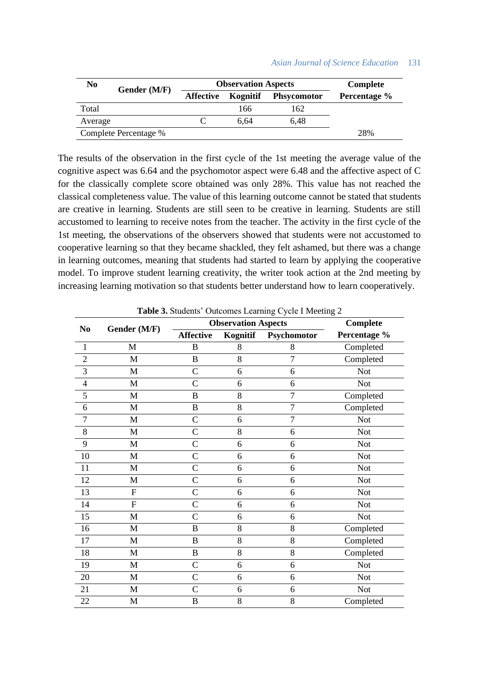| N <sub>0</sub>        | Gender (M/F) | <b>Observation Aspects</b> |          |                    | Complete     |
|-----------------------|--------------|----------------------------|----------|--------------------|--------------|
|                       |              | <b>Affective</b>           | Kognitif | <b>Phsycomotor</b> | Percentage % |
| Total                 |              |                            | 166      | 162                |              |
| Average               |              |                            | 6.64     | 6.48               |              |
| Complete Percentage % |              |                            |          |                    | 28%          |

The results of the observation in the first cycle of the 1st meeting the average value of the cognitive aspect was 6.64 and the psychomotor aspect were 6.48 and the affective aspect of C for the classically complete score obtained was only 28%. This value has not reached the classical completeness value. The value of this learning outcome cannot be stated that students are creative in learning. Students are still seen to be creative in learning. Students are still accustomed to learning to receive notes from the teacher. The activity in the first cycle of the 1st meeting, the observations of the observers showed that students were not accustomed to cooperative learning so that they became shackled, they felt ashamed, but there was a change in learning outcomes, meaning that students had started to learn by applying the cooperative model. To improve student learning creativity, the writer took action at the 2nd meeting by increasing learning motivation so that students better understand how to learn cooperatively.

| N <sub>0</sub> | Gender (M/F)   | <b>Observation Aspects</b> |          |                | Complete     |
|----------------|----------------|----------------------------|----------|----------------|--------------|
|                |                | <b>Affective</b>           | Kognitif | Psychomotor    | Percentage % |
| $\mathbf{1}$   | M              | $\bf{B}$                   | 8        | 8              | Completed    |
| $\overline{c}$ | $\mathbf M$    | $\, {\bf B}$               | 8        | $\overline{7}$ | Completed    |
| 3              | M              | $\mathsf{C}$               | 6        | 6              | <b>Not</b>   |
| $\overline{4}$ | M              | C                          | 6        | 6              | <b>Not</b>   |
| 5              | $\mathbf M$    | B                          | 8        | $\overline{7}$ | Completed    |
| 6              | M              | $\, {\bf B}$               | 8        | $\overline{7}$ | Completed    |
| 7              | M              | $\overline{C}$             | 6        | $\overline{7}$ | <b>Not</b>   |
| 8              | $\mathbf{M}$   | $\overline{C}$             | 8        | 6              | <b>Not</b>   |
| 9              | $\mathbf{M}$   | $\mathcal{C}$              | 6        | 6              | <b>Not</b>   |
| 10             | $\mathbf M$    | $\mathcal{C}$              | 6        | 6              | <b>Not</b>   |
| 11             | M              | $\overline{C}$             | 6        | 6              | <b>Not</b>   |
| 12             | M              | $\overline{C}$             | 6        | 6              | <b>Not</b>   |
| 13             | $\mathbf F$    | $\overline{C}$             | 6        | 6              | <b>Not</b>   |
| 14             | $\overline{F}$ | $\overline{C}$             | 6        | 6              | <b>Not</b>   |
| 15             | $\mathbf M$    | $\mathsf{C}$               | 6        | 6              | <b>Not</b>   |
| 16             | M              | B                          | 8        | 8              | Completed    |
| 17             | M              | $\, {\bf B}$               | 8        | 8              | Completed    |
| 18             | $\mathbf{M}$   | $\, {\bf B}$               | 8        | 8              | Completed    |
| 19             | M              | $\mathsf{C}$               | 6        | 6              | <b>Not</b>   |
| 20             | M              | $\mathsf{C}$               | 6        | 6              | <b>Not</b>   |
| 21             | M              | $\mathsf{C}$               | 6        | 6              | <b>Not</b>   |
| 22             | M              | $\boldsymbol{B}$           | 8        | 8              | Completed    |

**Table 3.** Students' Outcomes Learning Cycle I Meeting 2

#### *Asian Journal of Science Education* 131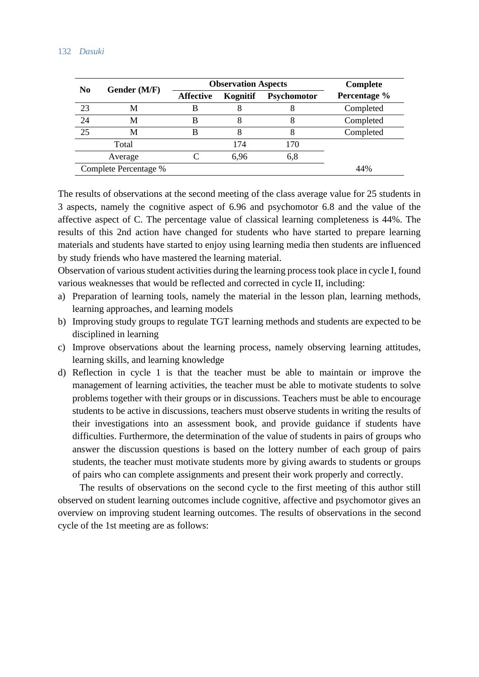### 132 *Dasuki*

| N <sub>0</sub>        | Gender (M/F) | <b>Observation Aspects</b> |          |             | Complete     |
|-----------------------|--------------|----------------------------|----------|-------------|--------------|
|                       |              | <b>Affective</b>           | Kognitif | Psychomotor | Percentage % |
| 23                    | M            |                            |          |             | Completed    |
| 24                    | M            | В                          |          |             | Completed    |
| 25                    | M            | В                          |          |             | Completed    |
|                       | Total        |                            | 174      | 170         |              |
|                       | Average      |                            | 6.96     | 6,8         |              |
| Complete Percentage % |              |                            |          |             | 44%          |

The results of observations at the second meeting of the class average value for 25 students in 3 aspects, namely the cognitive aspect of 6.96 and psychomotor 6.8 and the value of the affective aspect of C. The percentage value of classical learning completeness is 44%. The results of this 2nd action have changed for students who have started to prepare learning materials and students have started to enjoy using learning media then students are influenced by study friends who have mastered the learning material.

Observation of various student activities during the learning process took place in cycle I, found various weaknesses that would be reflected and corrected in cycle II, including:

- a) Preparation of learning tools, namely the material in the lesson plan, learning methods, learning approaches, and learning models
- b) Improving study groups to regulate TGT learning methods and students are expected to be disciplined in learning
- c) Improve observations about the learning process, namely observing learning attitudes, learning skills, and learning knowledge
- d) Reflection in cycle 1 is that the teacher must be able to maintain or improve the management of learning activities, the teacher must be able to motivate students to solve problems together with their groups or in discussions. Teachers must be able to encourage students to be active in discussions, teachers must observe students in writing the results of their investigations into an assessment book, and provide guidance if students have difficulties. Furthermore, the determination of the value of students in pairs of groups who answer the discussion questions is based on the lottery number of each group of pairs students, the teacher must motivate students more by giving awards to students or groups of pairs who can complete assignments and present their work properly and correctly.

The results of observations on the second cycle to the first meeting of this author still observed on student learning outcomes include cognitive, affective and psychomotor gives an overview on improving student learning outcomes. The results of observations in the second cycle of the 1st meeting are as follows: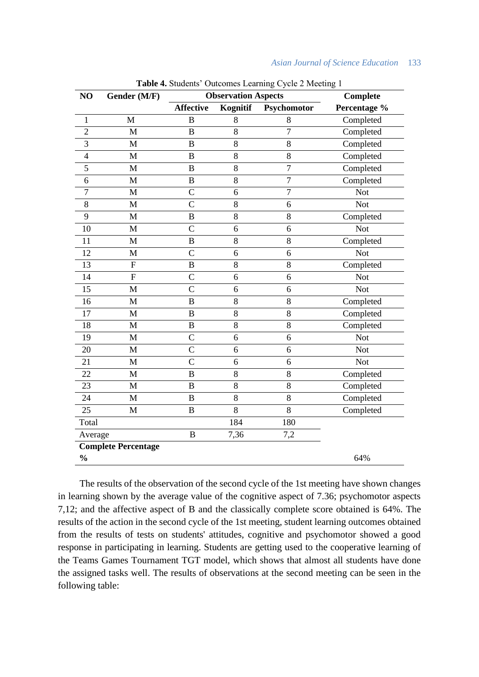| Asian Journal of Science Education |  |  | 133 |
|------------------------------------|--|--|-----|
|------------------------------------|--|--|-----|

| NO                         | Gender (M/F)   | <b>Table 4.</b> Stadents Calconies Learning Cycle 2 meeting 1<br><b>Observation Aspects</b> |                 | Complete       |              |
|----------------------------|----------------|---------------------------------------------------------------------------------------------|-----------------|----------------|--------------|
|                            |                | <b>Affective</b>                                                                            | <b>Kognitif</b> | Psychomotor    | Percentage % |
| $\mathbf{1}$               | M              | $\mathbf B$                                                                                 | 8               | 8              | Completed    |
| $\overline{c}$             | M              | $\bf{B}$                                                                                    | 8               | $\overline{7}$ | Completed    |
| 3                          | M              | $\bf{B}$                                                                                    | 8               | 8              | Completed    |
| $\overline{4}$             | $\mathbf M$    | $\bf{B}$                                                                                    | $\,8\,$         | $8\,$          | Completed    |
| 5                          | $\mathbf M$    | $\, {\bf B}$                                                                                | $\,8\,$         | $\overline{7}$ | Completed    |
| 6                          | $\mathbf{M}$   | $\overline{B}$                                                                              | 8               | $\overline{7}$ | Completed    |
| $\overline{7}$             | $\mathbf M$    | $\mathcal{C}$                                                                               | 6               | $\overline{7}$ | <b>Not</b>   |
| 8                          | M              | $\overline{C}$                                                                              | 8               | 6              | <b>Not</b>   |
| 9                          | $\mathbf M$    | $\bf{B}$                                                                                    | $\,8\,$         | $8\,$          | Completed    |
| 10                         | $\mathbf M$    | $\mathsf{C}$                                                                                | 6               | 6              | <b>Not</b>   |
| 11                         | M              | B                                                                                           | 8               | 8              | Completed    |
| 12                         | M              | $\mathcal{C}$                                                                               | 6               | 6              | <b>Not</b>   |
| 13                         | $\overline{F}$ | $\bf{B}$                                                                                    | 8               | 8              | Completed    |
| 14                         | $\overline{F}$ | $\overline{C}$                                                                              | 6               | 6              | <b>Not</b>   |
| 15                         | $\mathbf M$    | $\overline{C}$                                                                              | 6               | 6              | <b>Not</b>   |
| 16                         | $\mathbf M$    | $\overline{B}$                                                                              | 8               | 8              | Completed    |
| 17                         | $\mathbf{M}$   | $\overline{B}$                                                                              | 8               | 8              | Completed    |
| 18                         | M              | $\, {\bf B}$                                                                                | 8               | $8\,$          | Completed    |
| 19                         | M              | $\overline{C}$                                                                              | 6               | 6              | <b>Not</b>   |
| 20                         | $\mathbf M$    | $\mathcal{C}$                                                                               | 6               | 6              | <b>Not</b>   |
| 21                         | M              | $\mathcal{C}$                                                                               | 6               | 6              | <b>Not</b>   |
| 22                         | $\mathbf{M}$   | $\mathbf B$                                                                                 | 8               | $\,8\,$        | Completed    |
| 23                         | M              | $\bf{B}$                                                                                    | $8\,$           | $8\,$          | Completed    |
| 24                         | M              | $\bf{B}$                                                                                    | 8               | 8              | Completed    |
| 25                         | M              | $\, {\bf B}$                                                                                | 8               | 8              | Completed    |
| Total                      |                |                                                                                             | 184             | 180            |              |
| Average                    |                | B                                                                                           | 7,36            | 7,2            |              |
| <b>Complete Percentage</b> |                |                                                                                             |                 |                |              |
| $\frac{0}{0}$              |                |                                                                                             |                 |                | 64%          |

**Table 4.** Students' Outcomes Learning Cycle 2 Meeting 1

The results of the observation of the second cycle of the 1st meeting have shown changes in learning shown by the average value of the cognitive aspect of 7.36; psychomotor aspects 7,12; and the affective aspect of B and the classically complete score obtained is 64%. The results of the action in the second cycle of the 1st meeting, student learning outcomes obtained from the results of tests on students' attitudes, cognitive and psychomotor showed a good response in participating in learning. Students are getting used to the cooperative learning of the Teams Games Tournament TGT model, which shows that almost all students have done the assigned tasks well. The results of observations at the second meeting can be seen in the following table: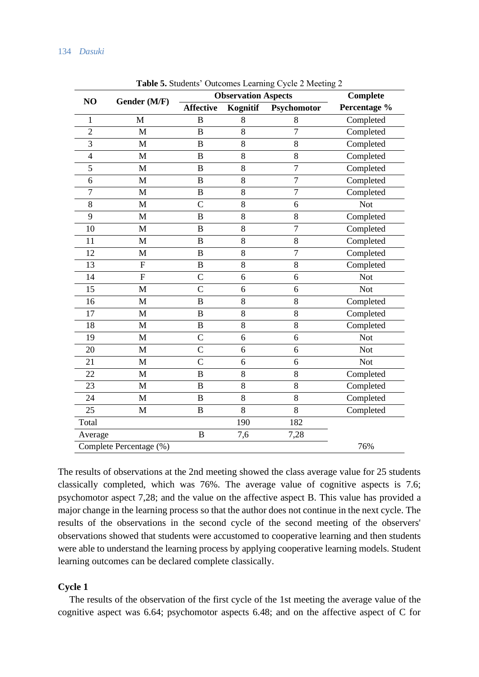|                         |                | <b>Observation Aspects</b> |          |                | <b>Complete</b> |  |
|-------------------------|----------------|----------------------------|----------|----------------|-----------------|--|
| NO                      | Gender (M/F)   | <b>Affective</b>           | Kognitif | Psychomotor    | Percentage %    |  |
| $\mathbf 1$             | M              | B                          | 8        | 8              | Completed       |  |
| $\overline{2}$          | M              | B                          | 8        | $\overline{7}$ | Completed       |  |
| 3                       | M              | B                          | 8        | 8              | Completed       |  |
| $\overline{4}$          | M              | B                          | 8        | 8              | Completed       |  |
| 5                       | M              | B                          | 8        | $\overline{7}$ | Completed       |  |
| 6                       | M              | B                          | 8        | $\overline{7}$ | Completed       |  |
| $\overline{7}$          | M              | B                          | 8        | $\overline{7}$ | Completed       |  |
| 8                       | M              | $\overline{C}$             | 8        | 6              | <b>Not</b>      |  |
| 9                       | M              | B                          | 8        | 8              | Completed       |  |
| 10                      | M              | B                          | 8        | $\overline{7}$ | Completed       |  |
| 11                      | M              | B                          | 8        | 8              | Completed       |  |
| 12                      | M              | B                          | 8        | $\overline{7}$ | Completed       |  |
| 13                      | ${\bf F}$      | B                          | 8        | 8              | Completed       |  |
| 14                      | $\overline{F}$ | $\overline{C}$             | 6        | 6              | <b>Not</b>      |  |
| 15                      | $\mathbf{M}$   | $\overline{C}$             | 6        | 6              | <b>Not</b>      |  |
| 16                      | M              | B                          | 8        | 8              | Completed       |  |
| 17                      | M              | B                          | 8        | 8              | Completed       |  |
| 18                      | M              | B                          | 8        | 8              | Completed       |  |
| 19                      | M              | $\overline{C}$             | 6        | 6              | <b>Not</b>      |  |
| 20                      | $\mathbf{M}$   | $\overline{C}$             | 6        | 6              | Not             |  |
| 21                      | $\mathbf{M}$   | $\overline{C}$             | 6        | 6              | <b>Not</b>      |  |
| 22                      | M              | B                          | 8        | 8              | Completed       |  |
| 23                      | M              | B                          | 8        | 8              | Completed       |  |
| 24                      | M              | $\overline{B}$             | 8        | 8              | Completed       |  |
| 25                      | M              | B                          | 8        | 8              | Completed       |  |
| Total                   |                |                            | 190      | 182            |                 |  |
| Average                 |                | $\overline{B}$             | 7,6      | 7,28           |                 |  |
| Complete Percentage (%) |                |                            |          |                | 76%             |  |

**Table 5.** Students' Outcomes Learning Cycle 2 Meeting 2

The results of observations at the 2nd meeting showed the class average value for 25 students classically completed, which was 76%. The average value of cognitive aspects is 7.6; psychomotor aspect 7,28; and the value on the affective aspect B. This value has provided a major change in the learning process so that the author does not continue in the next cycle. The results of the observations in the second cycle of the second meeting of the observers' observations showed that students were accustomed to cooperative learning and then students were able to understand the learning process by applying cooperative learning models. Student learning outcomes can be declared complete classically.

## **Cycle 1**

The results of the observation of the first cycle of the 1st meeting the average value of the cognitive aspect was 6.64; psychomotor aspects 6.48; and on the affective aspect of C for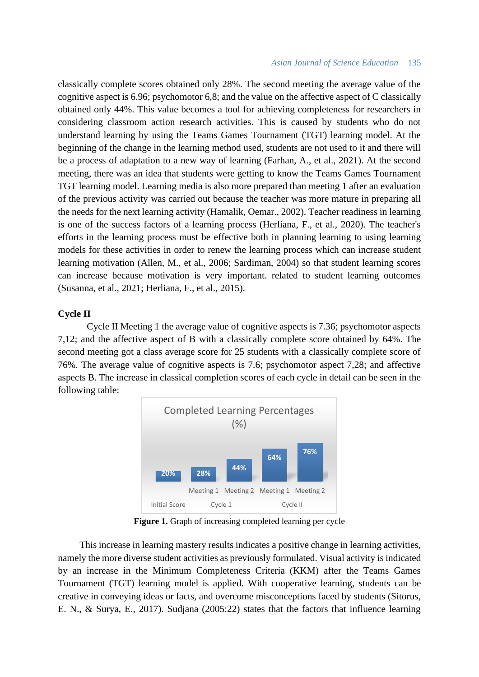### *Asian Journal of Science Education* 135

classically complete scores obtained only 28%. The second meeting the average value of the cognitive aspect is 6.96; psychomotor 6,8; and the value on the affective aspect of C classically obtained only 44%. This value becomes a tool for achieving completeness for researchers in considering classroom action research activities. This is caused by students who do not understand learning by using the Teams Games Tournament (TGT) learning model. At the beginning of the change in the learning method used, students are not used to it and there will be a process of adaptation to a new way of learning (Farhan, A., et al., 2021). At the second meeting, there was an idea that students were getting to know the Teams Games Tournament TGT learning model. Learning media is also more prepared than meeting 1 after an evaluation of the previous activity was carried out because the teacher was more mature in preparing all the needs for the next learning activity (Hamalik, Oemar., 2002). Teacher readiness in learning is one of the success factors of a learning process (Herliana, F., et al., 2020). The teacher's efforts in the learning process must be effective both in planning learning to using learning models for these activities in order to renew the learning process which can increase student learning motivation (Allen, M., et al., 2006; Sardiman, 2004) so that student learning scores can increase because motivation is very important. related to student learning outcomes (Susanna, et al., 2021; Herliana, F., et al., 2015).

## **Cycle II**

Cycle II Meeting 1 the average value of cognitive aspects is 7.36; psychomotor aspects 7,12; and the affective aspect of B with a classically complete score obtained by 64%. The second meeting got a class average score for 25 students with a classically complete score of 76%. The average value of cognitive aspects is 7.6; psychomotor aspect 7,28; and affective aspects B. The increase in classical completion scores of each cycle in detail can be seen in the following table:



Figure 1. Graph of increasing completed learning per cycle

This increase in learning mastery results indicates a positive change in learning activities, namely the more diverse student activities as previously formulated. Visual activity is indicated by an increase in the Minimum Completeness Criteria (KKM) after the Teams Games Tournament (TGT) learning model is applied. With cooperative learning, students can be creative in conveying ideas or facts, and overcome misconceptions faced by students (Sitorus, E. N., & Surya, E., 2017). Sudjana (2005:22) states that the factors that influence learning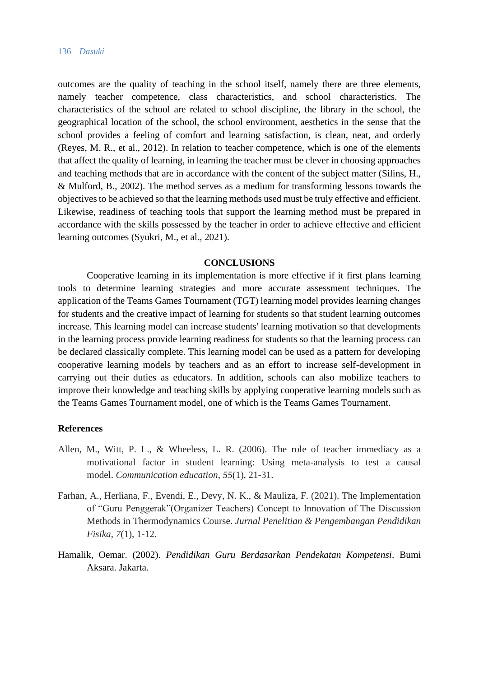#### 136 *Dasuki*

outcomes are the quality of teaching in the school itself, namely there are three elements, namely teacher competence, class characteristics, and school characteristics. The characteristics of the school are related to school discipline, the library in the school, the geographical location of the school, the school environment, aesthetics in the sense that the school provides a feeling of comfort and learning satisfaction, is clean, neat, and orderly (Reyes, M. R., et al., 2012). In relation to teacher competence, which is one of the elements that affect the quality of learning, in learning the teacher must be clever in choosing approaches and teaching methods that are in accordance with the content of the subject matter (Silins, H., & Mulford, B., 2002). The method serves as a medium for transforming lessons towards the objectives to be achieved so that the learning methods used must be truly effective and efficient. Likewise, readiness of teaching tools that support the learning method must be prepared in accordance with the skills possessed by the teacher in order to achieve effective and efficient learning outcomes (Syukri, M., et al., 2021).

## **CONCLUSIONS**

Cooperative learning in its implementation is more effective if it first plans learning tools to determine learning strategies and more accurate assessment techniques. The application of the Teams Games Tournament (TGT) learning model provides learning changes for students and the creative impact of learning for students so that student learning outcomes increase. This learning model can increase students' learning motivation so that developments in the learning process provide learning readiness for students so that the learning process can be declared classically complete. This learning model can be used as a pattern for developing cooperative learning models by teachers and as an effort to increase self-development in carrying out their duties as educators. In addition, schools can also mobilize teachers to improve their knowledge and teaching skills by applying cooperative learning models such as the Teams Games Tournament model, one of which is the Teams Games Tournament.

## **References**

- Allen, M., Witt, P. L., & Wheeless, L. R. (2006). The role of teacher immediacy as a motivational factor in student learning: Using meta-analysis to test a causal model. *Communication education*, *55*(1), 21-31.
- Farhan, A., Herliana, F., Evendi, E., Devy, N. K., & Mauliza, F. (2021). The Implementation of "Guru Penggerak"(Organizer Teachers) Concept to Innovation of The Discussion Methods in Thermodynamics Course. *Jurnal Penelitian & Pengembangan Pendidikan Fisika*, *7*(1), 1-12.
- Hamalik, Oemar. (2002). *Pendidikan Guru Berdasarkan Pendekatan Kompetensi*. Bumi Aksara. Jakarta.